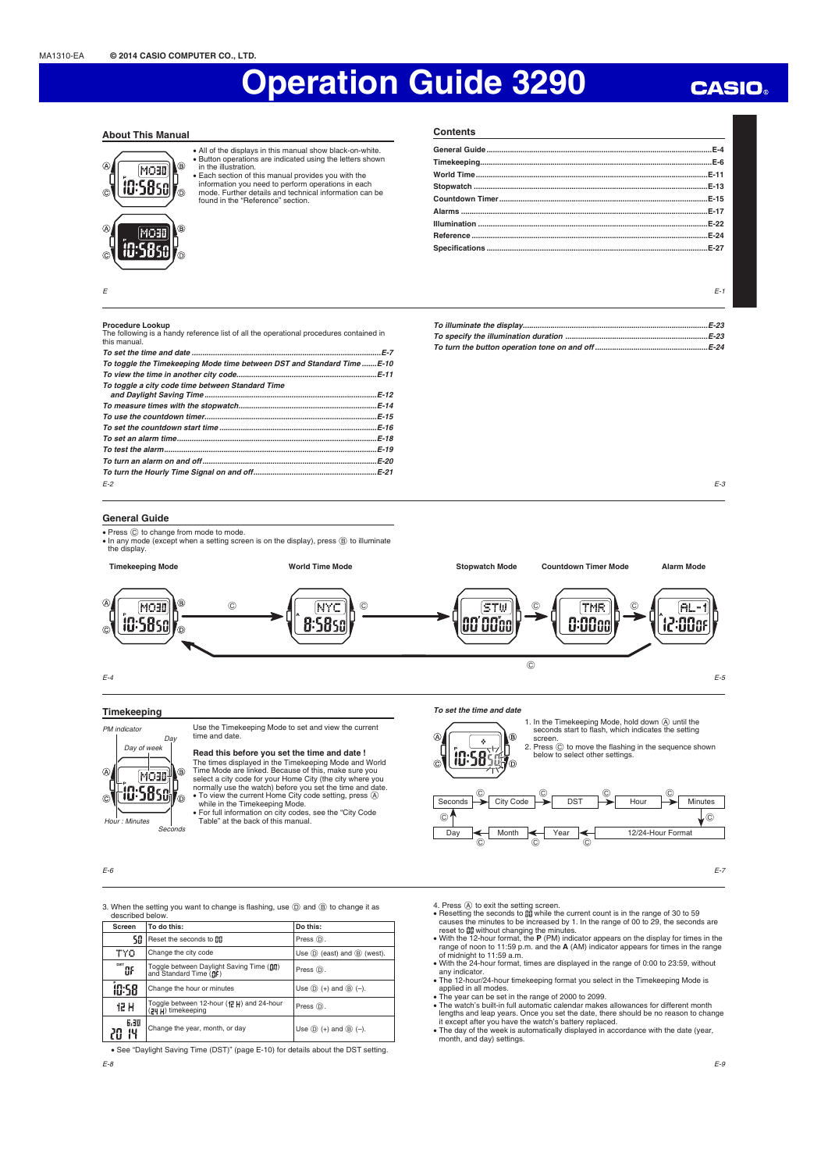**Contents**

### **About This Manual**



• All of the displays in this manual show black-on-white.<br>• Button operations are indicated using the letters shown<br>in the illustration.<br>• Each section of this manual provides you with the<br>• information you need to perfor

൹ found in the "Reference" section. **General Guide ..........................................................................................................E-4 Timekeeping .............................................................................................................E-6 World Time .............................................................................................................E-11 Stopwatch ..............................................................................................................E-13 Countdown Timer ..................................................................................................E-15 Alarms ....................................................................................................................E-17 Illumination ............................................................................................................E-22 Reference ...............................................................................................................E-24 Specifi cations ........................................................................................................E-27**

 $E-1$ 

### **Procedure Lookup**

E

| <b>FIULCULE LUUNUD</b>                                                                                 |
|--------------------------------------------------------------------------------------------------------|
| The following is a handy reference list of all the operational procedures contained in<br>this manual. |
|                                                                                                        |
| To toggle the Timekeeping Mode time between DST and Standard TimeE-10                                  |
|                                                                                                        |
| To togale a city code time between Standard Time                                                       |
|                                                                                                        |
|                                                                                                        |
|                                                                                                        |
|                                                                                                        |
|                                                                                                        |
|                                                                                                        |
|                                                                                                        |
|                                                                                                        |
| $F-2$                                                                                                  |

*To illuminate the display .......................................................................................E-23 To specify the illumination duration ...................................................................E-23 To turn the button operation tone on and off .....................................................E-24*



### **General Guide**

**• Press**  $\textcircled{c}$  **to change from mode to mode.** • In any mode (except when a setting screen is on the display), press  $\circledB$  to illuminate the display.



 $F-4$ 

### **Timekeeping**



Seconds

Use the Timekeeping Mode to set and view the current time and date.

### **Read this before you set the time and date !**

The times displayed in the Timekeeping Mode and World Time Mode are linked. Because of this, make sure you select a city code for your Home City (the city where you<br>normally use the watch) before you set the time and date.<br>● To view the current Home City code setting, press ④<br>while in the Timekeeping Mode.

x For full information on city codes, see the "City Code Table" at the back of this manual.

E-6

3. When the setting you want to change is flashing, use  $\circledD$  and  $\circledB$  to change it as described below.

| Screen                                                                                         | To do this:                                                  | Do this:                                     |  |
|------------------------------------------------------------------------------------------------|--------------------------------------------------------------|----------------------------------------------|--|
| SO                                                                                             | Reset the seconds to nn                                      | Press (D).                                   |  |
| <b>TYO</b><br>Change the city code                                                             |                                                              | Use $(D)$ (east) and $(B)$ (west).           |  |
| DST<br>Toggle between Daylight Saving Time (Dn)<br>and Standard Time (DF)<br>'n۶<br>Press (D). |                                                              |                                              |  |
| <b>ID:58</b>                                                                                   | Change the hour or minutes                                   | Use $\circled{D}$ (+) and $\circled{B}$ (-). |  |
| 12 H                                                                                           | Toggle between 12-hour (记H) and 24-hour<br>(기 H) timekeeping | Press (D).                                   |  |
| 6,30<br>14                                                                                     | Change the year, month, or day                               | Use $\circled{D}$ (+) and $\circled{B}$ (-). |  |

E-8 • See "Daylight Saving Time (DST)" (page E-10) for details about the DST setting.

 *To set the time and date*

k 10:58

Seconds City Code

Day

 $\odot$ 

 $\sqrt{\Delta}$ 

 $\sqrt{c}$ 

4. Press ④ to exit the setting screen.<br>● Resetting the seconds to ឰ while the current count is in the range of 30 to 59<br>Causes the minutes to be increased by 1. In the range of 00 to 29, the seconds are

screen.

®

൹

Month  $\leftarrow$  Year

 $\circ$   $\overline{\phantom{a}}$   $\circ$   $\overline{\phantom{a}}$   $\circ$ 

1. In the Timekeeping Mode, hold down  $\overline{A}$  until the seconds start to flash, which indicates the setting

 $DST$  Hour

below to select other settings.

 $\circ$   $\circ$   $\circ$   $\circ$   $\circ$   $\circ$   $\circ$   $\circ$ 

2. Press  $\copyright$  to move the flashing in the sequence shown

- reset to gg without changing the minutes.<br>• With the 12-hour format, the **P** (PM) indicator appears on the display for times in the range of noon to 11:59 p.m. and the **A** (AM) indicator appears for times in the range of
- 
- 
- applied in all modes.<br>
 The year can be set in the range of 2000 to 2099.<br>
 The year can be set in the range of 2000 to 2099.<br>
 The watch's built-in full automatic calendar makes allowances for different month<br>
lengths

E-7

**Minutes** 

 $\odot$ 

12/24-Hour Format

## **CASIO**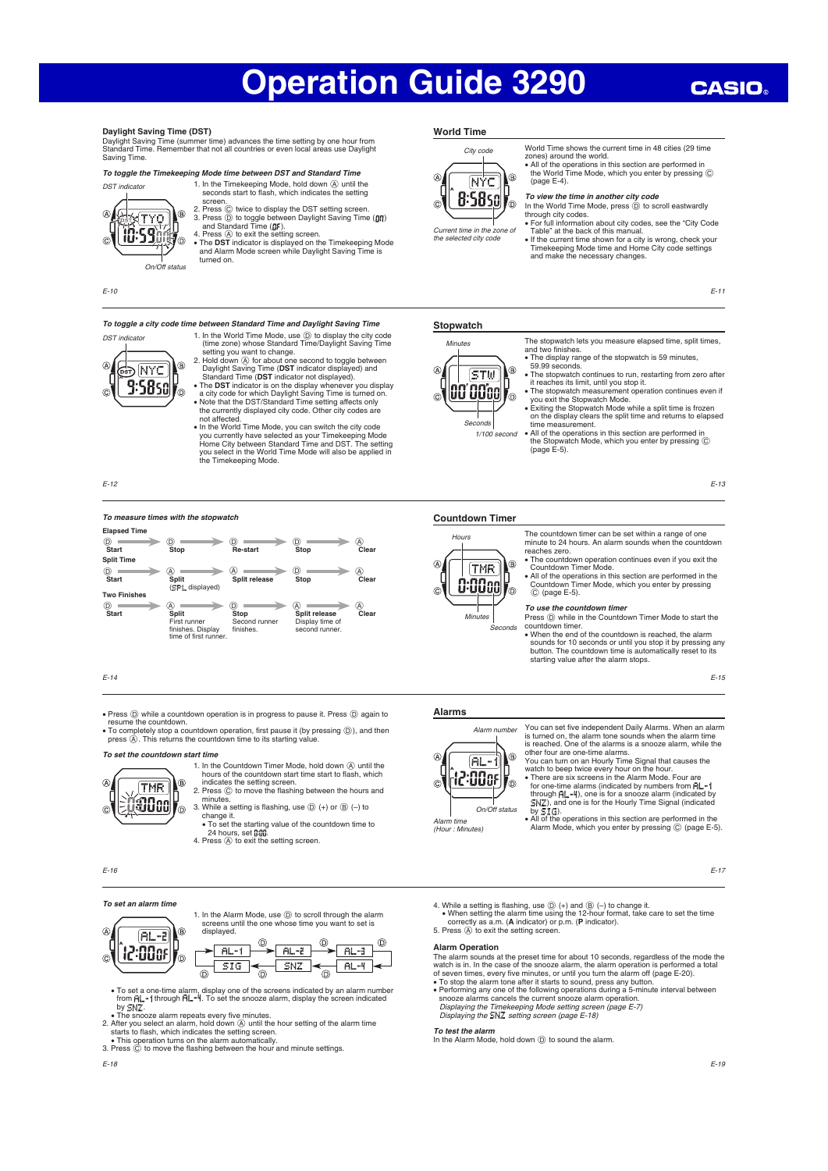### **Daylight Saving Time (DST)**

Daylight Saving Time (summer time) advances the time setting by one hour from Standard Time. Remember that not all countries or even local areas use Daylight Saving Time.

### *To toggle the Timekeeping Mode time between DST and Standard Time*



screen.<br>
2. Press ⓒ twice to display the DST setting screen.<br>
3. Press ⓪ to toggle between Daylight Saving Time ( $\mathfrak{g} \mathfrak{g} \mathfrak{f}$ )<br>
and Standard Time ( $\mathfrak{g} \mathfrak{f}$ ).<br>
4. Press ④ to exit the setting screen.<br>  $\bullet$ 

1. In the Timekeeping Mode, hold down  $\overline{A}$  until the seconds start to flash, which indicates the setting

turned on.

E-10

### *To toggle a city code time between Standard Time and Daylight Saving Time*



- 1. In the World Time Mode, use  $\circled{0}$  to display the city code<br>(time zone) whose Standard Time/Daylight Saving Time<br>setting you want to change.<br>2. Hold down  $\circled{0}$  for about one second to togele between<br>Daylight Savin
- In the World Time Mode, you can switch the city code

you currently have selected as your Timekeeping Mode Home City between Standard Time and DST. The setting you select in the World Time Mode will also be applied in the Timekeeping Mode.

E-12

### *To measure times with the stopwatch*



### E-14

• Press  $\textcircled{)}$  while a countdown operation is in progress to pause it. Press  $\textcircled{)}$  again to resume the countdown.<br>• To completely stop a countdown operation, first pause it (by pressing  $\textcircled{)}$ ), and then  $\blacksquare$  pre

minutes.

### *To set the countdown start time* 1. In the Countdown Timer Mode, hold down  $\textcircled{A}$  until the



3. While a setting is flashing, use  $(D +)$  or  $(B (-)$  to change it. • To set the starting value of the countdown time to 24 hours, set [: [: [] 4. Press (A) to exit the setting screen.

hours of the countdown start time start to flash, which indicates the setting screen.<br>2. Press  $\circled{c}$  to move the flashing between the hours and

E-16

 $\overline{\alpha}$ 

 $\overline{C}$ 

### *To set an alarm time*

1. In the Alarm Mode, use (D) to scroll through the alarm screens until the one whose time you want to set is displayed.



- To set a one-time alarm, display one of the screens indicated by an alarm number from  $\hat{F}L H$ . To set the snooze alarm, display the screen indicated
- 
- by SNZ<br>- The smooze alarm repeats every five minutes.<br>2. After you select an alarm, hold down  $\textcircled{A}$  until the hour setting of the alarm time<br>starts to flash, which indicates the setting screen.<br>This operation turns on 3. Press C to main, which indicates the setting solves in the flashing between the hour and minute settings.<br>3. Press © to move the flashing between the hour and minute settings.
- 

### **World Time**



Current time in the zone of the selected city code

World Time shows the current time in 48 cities (29 time zones) around the world.<br>• All of the operations in this section are performed in the World Time Mode, which you enter by pressing C

(page E-4). *To view the time in another city code*

### In the World Time Mode, press  $\textcircled{D}$  to scroll eastwardly

- through city codes. x For full information about city codes, see the "City Code
- Table" at the back of this manual.
- x If the current time shown for a city is wrong, check your Timekeeping Mode time and Home City code settings and make the necessary changes.

E-11

### **Stopwatch**



- x The display range of the stopwatch is 59 minutes, 59.99 seconds. x The stopwatch continues to run, restarting from zero after it reaches its limit, until you stop it.
- 

The stopwatch lets you measure elapsed time, split times,

- 
- 
- The stopwatch measurement operation continues even if<br>you exit the Stopwatch Mode.<br>
 Exiting the Stopwatch Mode while a split time is frozen<br>
on the display clears the split time and returns to elapsed<br>
 time measurem

E-13

### **Countdown Timer**



The countdown timer can be set within a range of one minute to 24 hours. An alarm sounds when the countdown • The countdown operation continues even if you exit the

- x All of the operations in this section are performed in the Countdown Timer Mode, which you enter by pressing
- To use the countdown time

### Press  $\circled{D}$  while in the Countdown Timer Mode to start the

- countdown timer. • When the end of the countdown is reached, the alarm
- sounds for 10 seconds or until you stop it by pressing any button. The countdown time is automatically reset to its starting value after the alarm stops.

E-15

### **Alarms**

(Hour : Minutes)



You can set five independent Daily Alarms. When an alarm is turned on, the alarm tone sounds when the alarm time is reached. One of the alarms is a snooze alarm, while the<br>other four are one-time alarms.<br>You can turn on an Hourly Time Signal that causes the<br>watch to beep twice every hour on the hour.<br>• There are six screens in the Al

for one-time alarms (indicated by numbers from  $\ddot{H}$ ... through  $\overline{H}$   $\overline{H}$ , one is for a snooze alarm (indicated by  $\overline{H}$ ), and one is for the Hourly Time Signal (indicated ), and one is for the Hourly Time Signal (indicated by  $51\%$ .

• All of the operations in this section are performed in the Alarm Mode, which you enter by pressing  $\odot$  (page E-5).

E-17

4. While a setting is flashing, use  $\textcircled{D}$  (+) and  $\textcircled{B}$  (-) to change it.<br>• When setting the alarm time using the 12-hour format, take care to set the time correctly as a.m. (**A** indicator) or p.m. (**P** indicator). 5. Press (A) to exit the setting screen.

### **Alarm Operation**

The alarm sounds at the preset time for about 10 seconds, regardless of the mode the watch is in. In the case of the snooze alarm, the alarm operation is performed a total of seven times, every five minutes, or until you turn the alarm off (page E-20).<br>• To stop the alarm tone after it starts to sound, press any button.

• Performing any one of the following operations during a 5-minute interval between<br>snooze alarms cancels the current snooze alarm operation.<br>Displaying the Timekeeping Mode setting screen (page E-7)<br>Displaying the ENZ set

### *To test the alarm*

In the Alarm Mode, hold down  $\overline{D}$  to sound the alarm.

# 1/100 second

reaches zero.

and two finishes

- Countdown Timer Mode.
	- C (page E-5)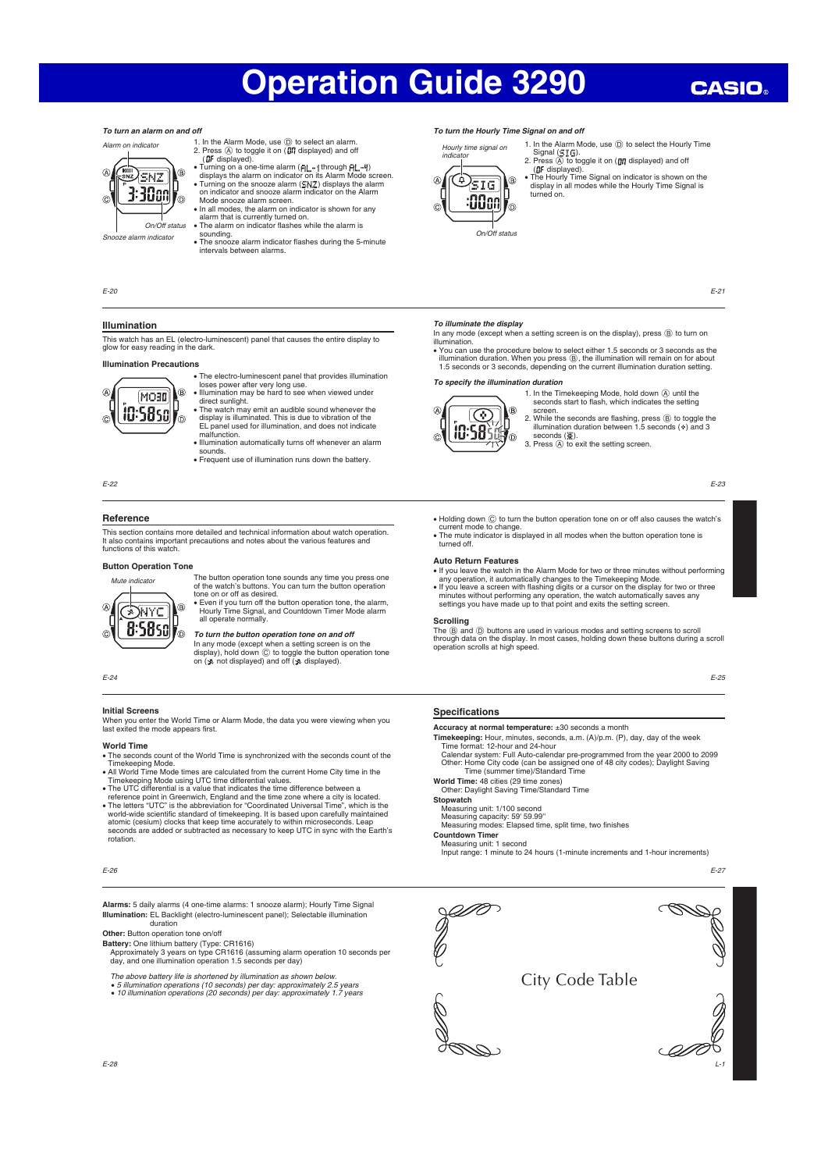# **CASIO**

### *To turn an alarm on and off*



- 
- 1. In the Alarm Mode, use  $\widehat{\mathbb{O}}$  to select an alarm.<br>
2. Press  $\widehat{\otimes}$  to toggle it on  $(\widehat{\mathbb{G}}H$  displayed) and off<br>  $(\widehat{\mathbb{G}}F$  displayed).<br>
 Turning on a one-time alarm ( $\widehat{\mathsf{F}}[\mathbb{L}^{\bullet}]$  through  $\widehat{\mathsf$
- Mode snooze alarm screen. In all modes, the alarm on indicator is shown for any

## alarm that is currently turned on.<br>• The alarm on indicator flashes while the alarm is

sounding.<br>• The snooze alarm indicator flashes during the 5-minute intervals between alarms.

• The electro-luminescent panel that provides illumination loses power after very long use. x Illumination may be hard to see when viewed under direct sunlight. x The watch may emit an audible sound whenever the display is illuminated. This is due to vibration of the EL panel used for illumination, and does not indicate

x Illumination automatically turns off whenever an alarm

**EXECUTE:** FREQUENT USE Of illumination runs down the battery

### *To turn the Hourly Time Signal on and off*

Hourly time signal on indicator  $\circledcirc$ sig  $\widehat{A}$ R :00cn

1. In the Alarm Mode, use  $\textcircled{D}$  to select the Hourly Time<br>Signal  $(\textcircled{I}, \textcircled{I})$ .<br>2. Press  $\textcircled{A}$  to toggle it on  $\textcircled{I}$  displayed) and off

( displayed). x The Hourly Time Signal on indicator is shown on the display in all modes while the Hourly Time Signal is turned on.

E-21

On/Off status

- To illuminate the display<br>In any mode (except when a setting screen is on the display), press **®** to turn on illumination.
- You can use the procedure below to select either 1.5 seconds or 3 seconds as the<br>illumination duration. When you press ⑧, the illumination will remain on for about<br>1.5 seconds or 3 seconds, depending on the current illu

### *To specify the illumination duration*



1. In the Timekeeping Mode, hold down  $\overline{A}$  until the seconds start to flash, which indicates the setting screen.

2. While the seconds are flashing, press  $\circled{B}$  to toggle the illumination duration between 1.5 seconds ( $\circ$ ) and 3 seconds  $(\frac{1}{2})$ .<br>3. Press  $\overline{A}$  to exit the setting screen.

E-23

- Holding down ⓒ to turn the button operation tone on or off also causes the watch's<br>current mode to change.<br>• The mute indicator is displayed in all modes when the button operation tone is
- turned off.

- x If you leave the watch in the Alarm Mode for two or three minutes without performing
- 

The ® and ® buttons are used in various modes and setting screens to scroll<br>through data on the display. In most cases, holding down these buttons during a scroll<br>operation scrolls at high speed.

E-25

### **Specifications**

### **Accuracy at normal temperature:** ±30 seconds a month

Timekeeping: Hour, minutes, seconds, a.m. (A)/p.m. (P), day, day of the week<br>Time format: 12-hour and 24-hour<br>Calendar system: Full Auto-calendar pre-programmed from the year 2000 to 2099<br>Other: Home City code (can be assi

## **World Time:** 48 cities (29 time zones) Other: Daylight Saving Time/Standard Time

### **Stopwatch** waten<br>asuring unit: 1/100 second

Measuring capacity: 59' 59.99"<br>Measuring modes: Elapsed time, split time, two finishes

Input range: 1 minute to 24 hours (1-minute increments and 1-hour increments)

E-27

L-1



**Illumination Precautions**  $\sqrt{4}$  $(B)$ MOBD 10:5850  $\overline{c}$ 

**Illumination**

E-20

E-22

### **Reference**

This section contains more detailed and technical information about watch operation. It also contains important precautions and notes about the various features and functions of this watch.

This watch has an EL (electro-luminescent) panel that causes the entire display to glow for easy reading in the dark.

malfunction.

sounds.

Mute indicator  $\overline{\mathbb{A}}$ (**R** DIVYC 8:5850 lo

tone on or off as desired.<br>• Even if you turn off the button operation tone, the alarm,<br>Hourly Time Signal, and Countdown Timer Mode alarm<br>all operate normally.

## *To turn the button operation tone on and off*

In any mode (except when a setting screen is on the<br>display), hold down ⓒ to toggle the button operation tone<br>on (ৣe not displayed) and off (ৣe displayed).

### E-24

### **Initial Screens**

When you enter the World Time or Alarm Mode, the data you were viewing when you<br>last exited the mode appears first.

### **World Time**

- The seconds count of the World Time is synchronized with the seconds count of the
- 
- 
- Timekeeping Mode.<br>
 All World Time Mode times are calculated from the current Home City time in the<br>
 All World Time Mode using UTC time differential values.<br>
 The UTC differential is a value that indicates the time dif
- world-wide scientific standard of timekeeping. It is based upon carefully maintained<br>atomic (cesium) clocks that keep time accurately to within microseconds. Leap<br>seconds are added or subtracted as necessary to keep UTC in rotation.

E-26

**Alarms:** 5 daily alarms (4 one-time alarms: 1 snooze alarm); Hourly Time Signal **Illumination:** EL Backlight (electro-luminescent panel); Selectable illumination duration

**Other:** Button operation tone on/off

- **Battery:** One lithium battery (Type: CR1616)<br>Approximately 3 years on type CR1616 (assuming alarm operation 10 seconds per<br>day, and one illumination operation 1.5 seconds per day)
- The above battery life is shortened by illumination as shown below.
- 
- x 5 illumination operations (10 seconds) per day: approximately 2.5 years x 10 illumination operations (20 seconds) per day: approximately 1.7 years

**Button Operation Tone**



**Countdown Timer** Measuring unit: 1 second

any operation, it automatically changes to the Timekeeping Mode.<br>• If you leave a screen with flashing digits or a cursor on the display for two or three<br>minutes without performing any operation, the watch automatically sa

**Scrolling**

**Auto Return Features** The button operation tone sounds any time you press one of the watch's buttons. You can turn the button operation